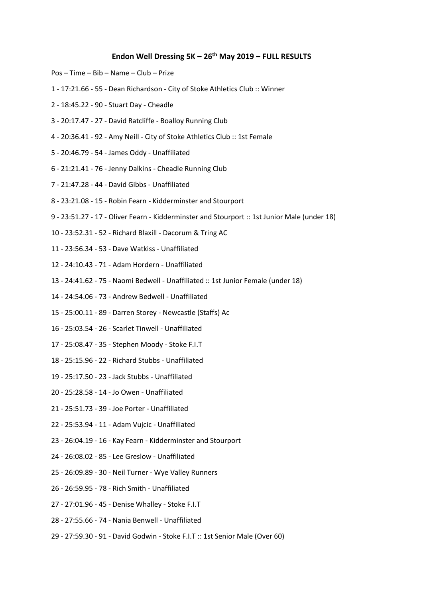## **Endon Well Dressing 5K – 26th May 2019 – FULL RESULTS**

- Pos Time Bib Name Club Prize
- 1 17:21.66 55 Dean Richardson City of Stoke Athletics Club :: Winner
- 2 18:45.22 90 Stuart Day Cheadle
- 3 20:17.47 27 David Ratcliffe Boalloy Running Club
- 4 20:36.41 92 Amy Neill City of Stoke Athletics Club :: 1st Female
- 5 20:46.79 54 James Oddy Unaffiliated
- 6 21:21.41 76 Jenny Dalkins Cheadle Running Club
- 7 21:47.28 44 David Gibbs Unaffiliated
- 8 23:21.08 15 Robin Fearn Kidderminster and Stourport
- 9 23:51.27 17 Oliver Fearn Kidderminster and Stourport :: 1st Junior Male (under 18)
- 10 23:52.31 52 Richard Blaxill Dacorum & Tring AC
- 11 23:56.34 53 Dave Watkiss Unaffiliated
- 12 24:10.43 71 Adam Hordern Unaffiliated
- 13 24:41.62 75 Naomi Bedwell Unaffiliated :: 1st Junior Female (under 18)
- 14 24:54.06 73 Andrew Bedwell Unaffiliated
- 15 25:00.11 89 Darren Storey Newcastle (Staffs) Ac
- 16 25:03.54 26 Scarlet Tinwell Unaffiliated
- 17 25:08.47 35 Stephen Moody Stoke F.I.T
- 18 25:15.96 22 Richard Stubbs Unaffiliated
- 19 25:17.50 23 Jack Stubbs Unaffiliated
- 20 25:28.58 14 Jo Owen Unaffiliated
- 21 25:51.73 39 Joe Porter Unaffiliated
- 22 25:53.94 11 Adam Vujcic Unaffiliated
- 23 26:04.19 16 Kay Fearn Kidderminster and Stourport
- 24 26:08.02 85 Lee Greslow Unaffiliated
- 25 26:09.89 30 Neil Turner Wye Valley Runners
- 26 26:59.95 78 Rich Smith Unaffiliated
- 27 27:01.96 45 Denise Whalley Stoke F.I.T
- 28 27:55.66 74 Nania Benwell Unaffiliated
- 29 27:59.30 91 David Godwin Stoke F.I.T :: 1st Senior Male (Over 60)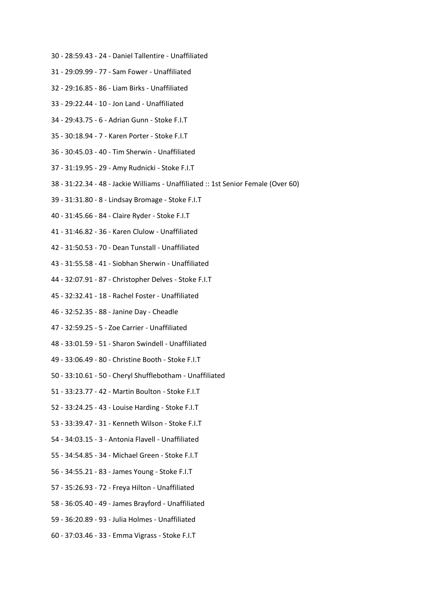- 30 28:59.43 24 Daniel Tallentire Unaffiliated
- 31 29:09.99 77 Sam Fower Unaffiliated
- 32 29:16.85 86 Liam Birks Unaffiliated
- 33 29:22.44 10 Jon Land Unaffiliated
- 34 29:43.75 6 Adrian Gunn Stoke F.I.T
- 35 30:18.94 7 Karen Porter Stoke F.I.T
- 36 30:45.03 40 Tim Sherwin Unaffiliated
- 37 31:19.95 29 Amy Rudnicki Stoke F.I.T
- 38 31:22.34 48 Jackie Williams Unaffiliated :: 1st Senior Female (Over 60)
- 39 31:31.80 8 Lindsay Bromage Stoke F.I.T
- 40 31:45.66 84 Claire Ryder Stoke F.I.T
- 41 31:46.82 36 Karen Clulow Unaffiliated
- 42 31:50.53 70 Dean Tunstall Unaffiliated
- 43 31:55.58 41 Siobhan Sherwin Unaffiliated
- 44 32:07.91 87 Christopher Delves Stoke F.I.T
- 45 32:32.41 18 Rachel Foster Unaffiliated
- 46 32:52.35 88 Janine Day Cheadle
- 47 32:59.25 5 Zoe Carrier Unaffiliated
- 48 33:01.59 51 Sharon Swindell Unaffiliated
- 49 33:06.49 80 Christine Booth Stoke F.I.T
- 50 33:10.61 50 Cheryl Shufflebotham Unaffiliated
- 51 33:23.77 42 Martin Boulton Stoke F.I.T
- 52 33:24.25 43 Louise Harding Stoke F.I.T
- 53 33:39.47 31 Kenneth Wilson Stoke F.I.T
- 54 34:03.15 3 Antonia Flavell Unaffiliated
- 55 34:54.85 34 Michael Green Stoke F.I.T
- 56 34:55.21 83 James Young Stoke F.I.T
- 57 35:26.93 72 Freya Hilton Unaffiliated
- 58 36:05.40 49 James Brayford Unaffiliated
- 59 36:20.89 93 Julia Holmes Unaffiliated
- 60 37:03.46 33 Emma Vigrass Stoke F.I.T